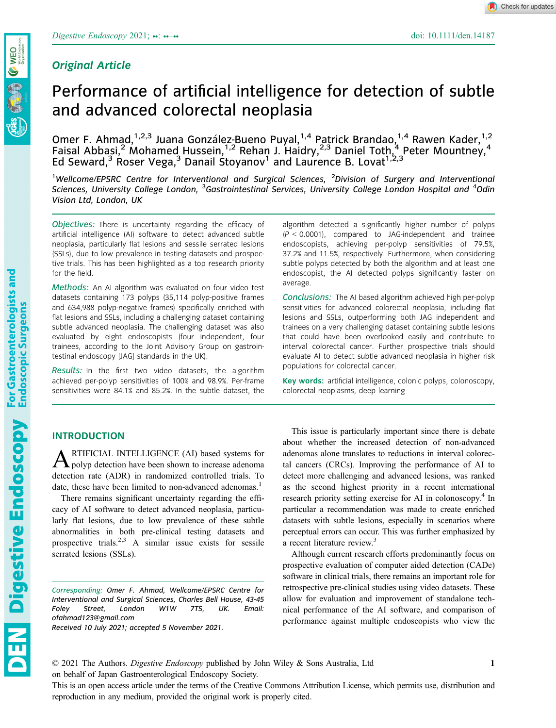For Gastroenterologists and<br>Endoscopic Surgeons

# Original Article

Check for updates

# Performance of artificial intelligence for detection of subtle and advanced colorectal neoplasia

Omer F. Ahmad, <sup>1,2,3</sup> Juana González-Bueno Puyal, <sup>1,4</sup> Patrick Brandao, <sup>1,4</sup> Rawen Kader, <sup>1,2</sup> Faisal Abbasi,<sup>2</sup> Mohamed Hussein,<sup>1,2</sup> Rehan J. Haidry,<sup>2,3</sup> Daniel Toth,<sup>4</sup> Peter Mountney,<sup>4</sup> Ed Seward,<sup>3</sup> Roser Vega,<sup>3</sup> Danail Stoyanov<sup>1</sup> and Laurence B. Lovat<sup>1,2,3</sup>

<sup>1</sup>Wellcome/EPSRC Centre for Interventional and Surgical Sciences, <sup>2</sup>Division of Surgery and Interventional Sciences, University College London, <sup>3</sup>Gastrointestinal Services, University College London Hospital and <sup>4</sup>Odin Vision Ltd, London, UK

Objectives: There is uncertainty regarding the efficacy of artificial intelligence (AI) software to detect advanced subtle neoplasia, particularly flat lesions and sessile serrated lesions (SSLs), due to low prevalence in testing datasets and prospective trials. This has been highlighted as a top research priority for the field.

Methods: An AI algorithm was evaluated on four video test datasets containing 173 polyps (35,114 polyp-positive frames and 634,988 polyp-negative frames) specifically enriched with flat lesions and SSLs, including a challenging dataset containing subtle advanced neoplasia. The challenging dataset was also evaluated by eight endoscopists (four independent, four trainees, according to the Joint Advisory Group on gastrointestinal endoscopy [JAG] standards in the UK).

Results: In the first two video datasets, the algorithm achieved per-polyp sensitivities of 100% and 98.9%. Per-frame sensitivities were 84.1% and 85.2%. In the subtle dataset, the

# INTRODUCTION

**ARTIFICIAL INTELLIGENCE** (AI) based systems for polyp detection have been shown to increase adenoma detection rate (ADR) in randomized controlled trials. To date, these have been limited to non-advanced adenomas.<sup>1</sup>

There remains significant uncertainty regarding the efficacy of AI software to detect advanced neoplasia, particularly flat lesions, due to low prevalence of these subtle abnormalities in both pre-clinical testing datasets and prospective trials.<sup>2,3</sup> A similar issue exists for sessile serrated lesions (SSLs).

Corresponding: Omer F. Ahmad, Wellcome/EPSRC Centre for Interventional and Surgical Sciences, Charles Bell House, 43-45 Foley Street, London W1W 7TS, UK. Email: [ofahmad123@gmail.com](mailto:)

Received 10 July 2021; accepted 5 November 2021.

algorithm detected a significantly higher number of polyps  $(P < 0.0001)$ , compared to JAG-independent and trainee endoscopists, achieving per-polyp sensitivities of 79.5%, 37.2% and 11.5%, respectively. Furthermore, when considering subtle polyps detected by both the algorithm and at least one endoscopist, the AI detected polyps significantly faster on average.

Conclusions: The AI based algorithm achieved high per-polyp sensitivities for advanced colorectal neoplasia, including flat lesions and SSLs, outperforming both JAG independent and trainees on a very challenging dataset containing subtle lesions that could have been overlooked easily and contribute to interval colorectal cancer. Further prospective trials should evaluate AI to detect subtle advanced neoplasia in higher risk populations for colorectal cancer.

Key words: artificial intelligence, colonic polyps, colonoscopy, colorectal neoplasms, deep learning

This issue is particularly important since there is debate about whether the increased detection of non-advanced adenomas alone translates to reductions in interval colorectal cancers (CRCs). Improving the performance of AI to detect more challenging and advanced lesions, was ranked as the second highest priority in a recent international research priority setting exercise for AI in colonoscopy.<sup>4</sup> In particular a recommendation was made to create enriched datasets with subtle lesions, especially in scenarios where perceptual errors can occur. This was further emphasized by a recent literature review.<sup>3</sup>

Although current research efforts predominantly focus on prospective evaluation of computer aided detection (CADe) software in clinical trials, there remains an important role for retrospective pre-clinical studies using video datasets. These allow for evaluation and improvement of standalone technical performance of the AI software, and comparison of performance against multiple endoscopists who view the

1

Digestive Endoscopy

© 2021 The Authors. Digestive Endoscopy published by John Wiley & Sons Australia, Ltd on behalf of Japan Gastroenterological Endoscopy Society.

This is an open access article under the terms of the [Creative Commons Attribution](http://creativecommons.org/licenses/by/4.0/) License, which permits use, distribution and reproduction in any medium, provided the original work is properly cited.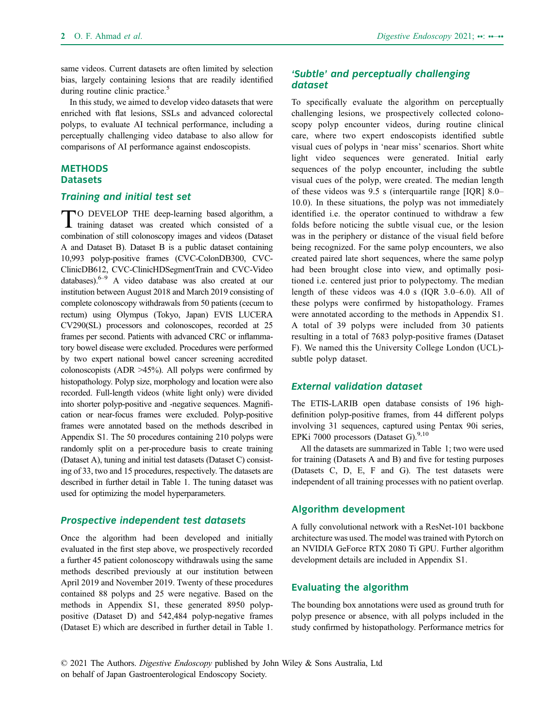same videos. Current datasets are often limited by selection bias, largely containing lesions that are readily identified during routine clinic practice.<sup>5</sup>

In this study, we aimed to develop video datasets that were enriched with flat lesions, SSLs and advanced colorectal polyps, to evaluate AI technical performance, including a perceptually challenging video database to also allow for comparisons of AI performance against endoscopists.

#### **METHODS Datasets**

#### Training and initial test set

TO DEVELOP THE deep-learning based algorithm, a training dataset was created which consisted of a combination of still colonoscopy images and videos (Dataset A and Dataset B). Dataset B is a public dataset containing 10,993 polyp-positive frames (CVC-ColonDB300, CVC-ClinicDB612, CVC-ClinicHDSegmentTrain and CVC-Video databases). $6-9$  A video database was also created at our institution between August 2018 and March 2019 consisting of complete colonoscopy withdrawals from 50 patients (cecum to rectum) using Olympus (Tokyo, Japan) EVIS LUCERA CV290(SL) processors and colonoscopes, recorded at 25 frames per second. Patients with advanced CRC or inflammatory bowel disease were excluded. Procedures were performed by two expert national bowel cancer screening accredited colonoscopists (ADR >45%). All polyps were confirmed by histopathology. Polyp size, morphology and location were also recorded. Full-length videos (white light only) were divided into shorter polyp-positive and -negative sequences. Magnification or near-focus frames were excluded. Polyp-positive frames were annotated based on the methods described in Appendix S1. The 50 procedures containing 210 polyps were randomly split on a per-procedure basis to create training (Dataset A), tuning and initial test datasets (Dataset C) consisting of 33, two and 15 procedures, respectively. The datasets are described in further detail in Table 1. The tuning dataset was used for optimizing the model hyperparameters.

## Prospective independent test datasets

Once the algorithm had been developed and initially evaluated in the first step above, we prospectively recorded a further 45 patient colonoscopy withdrawals using the same methods described previously at our institution between April 2019 and November 2019. Twenty of these procedures contained 88 polyps and 25 were negative. Based on the methods in Appendix S1, these generated 8950 polyppositive (Dataset D) and 542,484 polyp-negative frames (Dataset E) which are described in further detail in Table 1.

# 'Subtle' and perceptually challenging dataset

To specifically evaluate the algorithm on perceptually challenging lesions, we prospectively collected colonoscopy polyp encounter videos, during routine clinical care, where two expert endoscopists identified subtle visual cues of polyps in 'near miss' scenarios. Short white light video sequences were generated. Initial early sequences of the polyp encounter, including the subtle visual cues of the polyp, were created. The median length of these videos was 9.5 s (interquartile range [IQR] 8.0– 10.0). In these situations, the polyp was not immediately identified i.e. the operator continued to withdraw a few folds before noticing the subtle visual cue, or the lesion was in the periphery or distance of the visual field before being recognized. For the same polyp encounters, we also created paired late short sequences, where the same polyp had been brought close into view, and optimally positioned i.e. centered just prior to polypectomy. The median length of these videos was 4.0 s (IQR 3.0–6.0). All of these polyps were confirmed by histopathology. Frames were annotated according to the methods in Appendix S1. A total of 39 polyps were included from 30 patients resulting in a total of 7683 polyp-positive frames (Dataset F). We named this the University College London (UCL) subtle polyp dataset.

#### External validation dataset

The ETIS-LARIB open database consists of 196 highdefinition polyp-positive frames, from 44 different polyps involving 31 sequences, captured using Pentax 90i series, EPKi 7000 processors (Dataset G). $^{9,10}$ 

All the datasets are summarized in Table 1; two were used for training (Datasets A and B) and five for testing purposes (Datasets C, D, E, F and G). The test datasets were independent of all training processes with no patient overlap.

# Algorithm development

A fully convolutional network with a ResNet-101 backbone architecture was used. The model was trained with Pytorch on an NVIDIA GeForce RTX 2080 Ti GPU. Further algorithm development details are included in Appendix S1.

# Evaluating the algorithm

The bounding box annotations were used as ground truth for polyp presence or absence, with all polyps included in the study confirmed by histopathology. Performance metrics for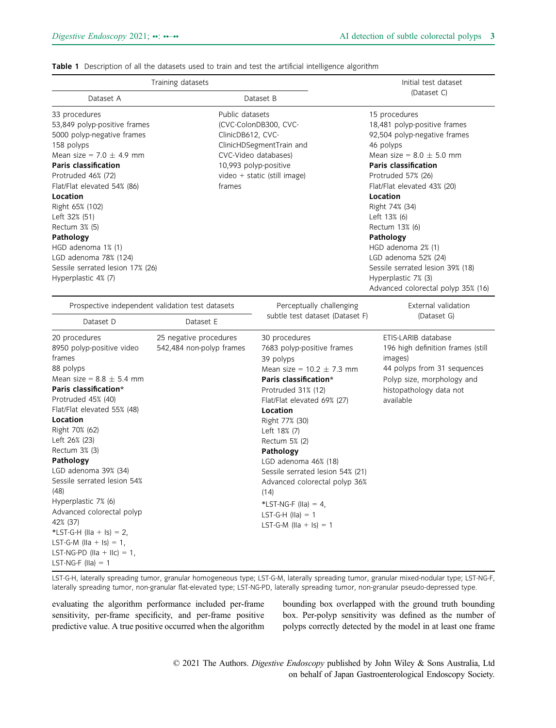#### Table 1 Description of all the datasets used to train and test the artificial intelligence algorithm

| Training datasets                                                                                                                                                                                                                                                                                                                                                                                                                                                                                                                 |                                                    |                                                                                                                                                                                                       | Initial test dataset                                                                                                                                                                                                                                                                                                                                                                                                                       |  |
|-----------------------------------------------------------------------------------------------------------------------------------------------------------------------------------------------------------------------------------------------------------------------------------------------------------------------------------------------------------------------------------------------------------------------------------------------------------------------------------------------------------------------------------|----------------------------------------------------|-------------------------------------------------------------------------------------------------------------------------------------------------------------------------------------------------------|--------------------------------------------------------------------------------------------------------------------------------------------------------------------------------------------------------------------------------------------------------------------------------------------------------------------------------------------------------------------------------------------------------------------------------------------|--|
| Dataset A                                                                                                                                                                                                                                                                                                                                                                                                                                                                                                                         |                                                    | Dataset B                                                                                                                                                                                             | (Dataset C)                                                                                                                                                                                                                                                                                                                                                                                                                                |  |
| Public datasets<br>33 procedures<br>53,849 polyp-positive frames<br>(CVC-ColonDB300, CVC-<br>5000 polyp-negative frames<br>ClinicDB612, CVC-<br>158 polyps<br>CVC-Video databases)<br>Mean size = $7.0 \pm 4.9$ mm<br><b>Paris classification</b><br>10,993 polyp-positive<br>Protruded 46% (72)<br>Flat/Flat elevated 54% (86)<br>frames<br>Location<br>Right 65% (102)<br>Left 32% (51)<br>Rectum 3% (5)<br>Pathology<br>HGD adenoma 1% (1)<br>LGD adenoma 78% (124)<br>Sessile serrated lesion 17% (26)<br>Hyperplastic 4% (7) |                                                    | ClinicHDSegmentTrain and<br>video + static (still image)                                                                                                                                              | 15 procedures<br>18,481 polyp-positive frames<br>92,504 polyp-negative frames<br>46 polyps<br>Mean size = $8.0 \pm 5.0$ mm<br><b>Paris classification</b><br>Protruded 57% (26)<br>Flat/Flat elevated 43% (20)<br>Location<br>Right 74% (34)<br>Left 13% (6)<br>Rectum 13% (6)<br>Pathology<br>HGD adenoma 2% (1)<br>LGD adenoma 52% (24)<br>Sessile serrated lesion 39% (18)<br>Hyperplastic 7% (3)<br>Advanced colorectal polyp 35% (16) |  |
| Prospective independent validation test datasets                                                                                                                                                                                                                                                                                                                                                                                                                                                                                  |                                                    | Perceptually challenging                                                                                                                                                                              | External validation                                                                                                                                                                                                                                                                                                                                                                                                                        |  |
| Dataset D                                                                                                                                                                                                                                                                                                                                                                                                                                                                                                                         | Dataset E                                          | subtle test dataset (Dataset F)                                                                                                                                                                       | (Dataset G)                                                                                                                                                                                                                                                                                                                                                                                                                                |  |
| 20 procedures<br>8950 polyp-positive video<br>frames<br>88 polyps<br>Mean size = $8.8 \pm 5.4$ mm<br>Paris classification*<br>Protruded 45% (40)<br>Flat/Flat elevated 55% (48)<br>Location                                                                                                                                                                                                                                                                                                                                       | 25 negative procedures<br>542,484 non-polyp frames | 30 procedures<br>7683 polyp-positive frames<br>39 polyps<br>Mean size = $10.2 \pm 7.3$ mm<br>Paris classification*<br>Protruded 31% (12)<br>Flat/Flat elevated 69% (27)<br>Location<br>Right 77% (30) | ETIS-LARIB database<br>196 high definition frames (still<br>images)<br>44 polyps from 31 sequences<br>Polyp size, morphology and<br>histopathology data not<br>available                                                                                                                                                                                                                                                                   |  |

Right 70% (62) Left 26% (23) Rectum 3% (3)

Pathology LGD adenoma 39% (34) Sessile serrated lesion 54% (48) Hyperplastic 7% (6) Advanced colorectal polyp 42% (37) \*LST-G-H (IIa + Is) =  $2$ , LST-G-M (IIa + Is) =  $1$ , LST-NG-PD (IIa + IIc) =  $1$ , LST-NG-F (IIa)  $= 1$ 

Right 77% (30) Left 18% (7) Rectum 5% (2) Pathology LGD adenoma 46% (18) Sessile serrated lesion 54% (21) Advanced colorectal polyp 36% (14)  $*$ LST-NG-F (IIa) = 4, LST-G-H (IIa)  $= 1$ LST-G-M (IIa + Is) =  $1$ 

LST-G-H, laterally spreading tumor, granular homogeneous type; LST-G-M, laterally spreading tumor, granular mixed-nodular type; LST-NG-F, laterally spreading tumor, non-granular flat-elevated type; LST-NG-PD, laterally spreading tumor, non-granular pseudo-depressed type.

evaluating the algorithm performance included per-frame sensitivity, per-frame specificity, and per-frame positive predictive value. A true positive occurred when the algorithm bounding box overlapped with the ground truth bounding box. Per-polyp sensitivity was defined as the number of polyps correctly detected by the model in at least one frame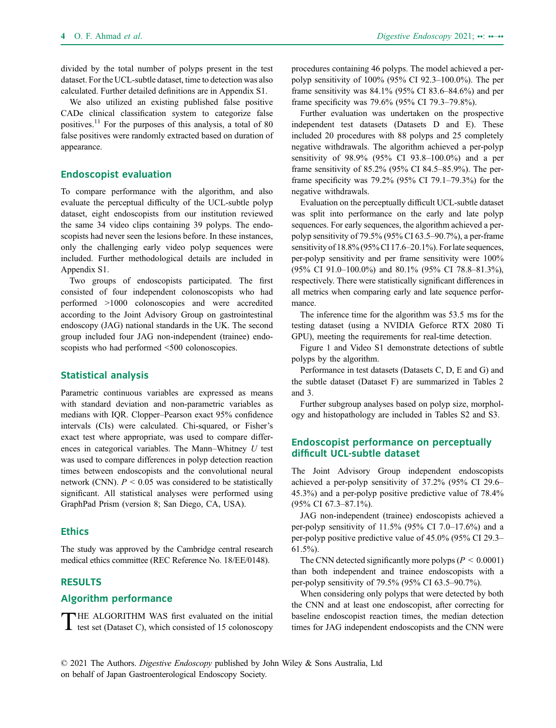divided by the total number of polyps present in the test dataset. For the UCL-subtle dataset, time to detection was also calculated. Further detailed definitions are in Appendix S1.

We also utilized an existing published false positive CADe clinical classification system to categorize false positives.<sup>11</sup> For the purposes of this analysis, a total of 80 false positives were randomly extracted based on duration of appearance.

# Endoscopist evaluation

To compare performance with the algorithm, and also evaluate the perceptual difficulty of the UCL-subtle polyp dataset, eight endoscopists from our institution reviewed the same 34 video clips containing 39 polyps. The endoscopists had never seen the lesions before. In these instances, only the challenging early video polyp sequences were included. Further methodological details are included in Appendix S1.

Two groups of endoscopists participated. The first consisted of four independent colonoscopists who had performed >1000 colonoscopies and were accredited according to the Joint Advisory Group on gastrointestinal endoscopy (JAG) national standards in the UK. The second group included four JAG non-independent (trainee) endoscopists who had performed <500 colonoscopies.

#### Statistical analysis

Parametric continuous variables are expressed as means with standard deviation and non-parametric variables as medians with IQR. Clopper–Pearson exact 95% confidence intervals (CIs) were calculated. Chi-squared, or Fisher's exact test where appropriate, was used to compare differences in categorical variables. The Mann–Whitney  $U$  test was used to compare differences in polyp detection reaction times between endoscopists and the convolutional neural network (CNN).  $P < 0.05$  was considered to be statistically significant. All statistical analyses were performed using GraphPad Prism (version 8; San Diego, CA, USA).

#### **Ethics**

The study was approved by the Cambridge central research medical ethics committee (REC Reference No. 18/EE/0148).

# RESULTS

#### Algorithm performance

THE ALGORITHM WAS first evaluated on the initial<br>test set (Dataset C), which consisted of 15 colonoscopy

procedures containing 46 polyps. The model achieved a perpolyp sensitivity of 100% (95% CI 92.3–100.0%). The per frame sensitivity was 84.1% (95% CI 83.6–84.6%) and per frame specificity was 79.6% (95% CI 79.3–79.8%).

Further evaluation was undertaken on the prospective independent test datasets (Datasets D and E). These included 20 procedures with 88 polyps and 25 completely negative withdrawals. The algorithm achieved a per-polyp sensitivity of 98.9% (95% CI 93.8–100.0%) and a per frame sensitivity of 85.2% (95% CI 84.5–85.9%). The perframe specificity was 79.2% (95% CI 79.1–79.3%) for the negative withdrawals.

Evaluation on the perceptually difficult UCL-subtle dataset was split into performance on the early and late polyp sequences. For early sequences, the algorithm achieved a perpolyp sensitivity of 79.5% (95% CI 63.5–90.7%), a per-frame sensitivity of 18.8% (95% CI 17.6–20.1%). For late sequences, per-polyp sensitivity and per frame sensitivity were 100% (95% CI 91.0–100.0%) and 80.1% (95% CI 78.8–81.3%), respectively. There were statistically significant differences in all metrics when comparing early and late sequence performance.

The inference time for the algorithm was 53.5 ms for the testing dataset (using a NVIDIA Geforce RTX 2080 Ti GPU), meeting the requirements for real-time detection.

Figure 1 and Video S1 demonstrate detections of subtle polyps by the algorithm.

Performance in test datasets (Datasets C, D, E and G) and the subtle dataset (Dataset F) are summarized in Tables 2 and 3.

Further subgroup analyses based on polyp size, morphology and histopathology are included in Tables S2 and S3.

# Endoscopist performance on perceptually difficult UCL-subtle dataset

The Joint Advisory Group independent endoscopists achieved a per-polyp sensitivity of 37.2% (95% CI 29.6– 45.3%) and a per-polyp positive predictive value of 78.4% (95% CI 67.3–87.1%).

JAG non-independent (trainee) endoscopists achieved a per-polyp sensitivity of  $11.5\%$  (95% CI 7.0–17.6%) and a per-polyp positive predictive value of 45.0% (95% CI 29.3– 61.5%).

The CNN detected significantly more polyps ( $P \le 0.0001$ ) than both independent and trainee endoscopists with a per-polyp sensitivity of 79.5% (95% CI 63.5–90.7%).

When considering only polyps that were detected by both the CNN and at least one endoscopist, after correcting for baseline endoscopist reaction times, the median detection times for JAG independent endoscopists and the CNN were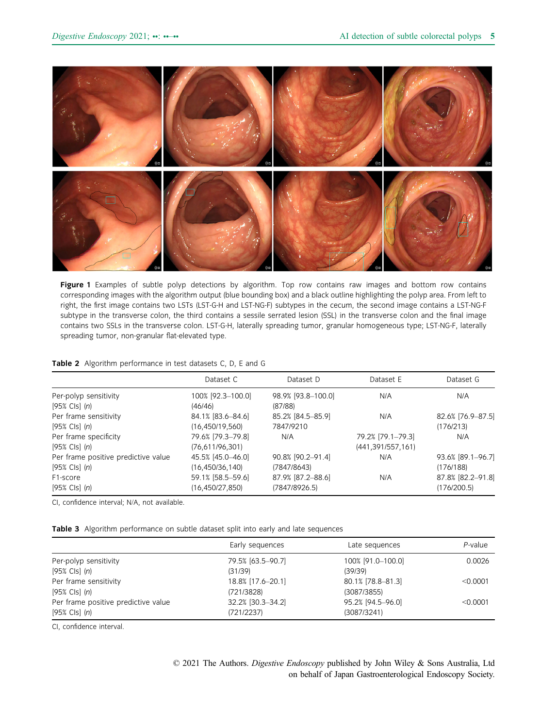

Figure 1 Examples of subtle polyp detections by algorithm. Top row contains raw images and bottom row contains corresponding images with the algorithm output (blue bounding box) and a black outline highlighting the polyp area. From left to right, the first image contains two LSTs (LST-G-H and LST-NG-F) subtypes in the cecum, the second image contains a LST-NG-F subtype in the transverse colon, the third contains a sessile serrated lesion (SSL) in the transverse colon and the final image contains two SSLs in the transverse colon. LST-G-H, laterally spreading tumor, granular homogeneous type; LST-NG-F, laterally spreading tumor, non-granular flat-elevated type.

#### Table 2 Algorithm performance in test datasets C, D, E and G

|                                     | Dataset C         | Dataset D          | Dataset E           | Dataset G         |
|-------------------------------------|-------------------|--------------------|---------------------|-------------------|
| Per-polyp sensitivity               | 100% [92.3-100.0] | 98.9% [93.8-100.0] | N/A                 | N/A               |
| [95% Cls] (n)                       | (46/46)           | (87/88)            |                     |                   |
| Per frame sensitivity               | 84.1% [83.6-84.6] | 85.2% [84.5-85.9]  | N/A                 | 82.6% [76.9-87.5] |
| [95% Cls] (n)                       | (16,450/19,560)   | 7847/9210          |                     | (176/213)         |
| Per frame specificity               | 79.6% [79.3-79.8] | N/A                | 79.2% [79.1-79.3]   | N/A               |
| $[95%$ Cls $]$ (n)                  | (76,611/96,301)   |                    | (441, 391/557, 161) |                   |
| Per frame positive predictive value | 45.5% [45.0-46.0] | 90.8% [90.2-91.4]  | N/A                 | 93.6% [89.1-96.7] |
| $[95%$ Cls $]$ (n)                  | (16, 450/36, 140) | (7847/8643)        |                     | (176/188)         |
| F <sub>1</sub> -score               | 59.1% [58.5-59.6] | 87.9% [87.2-88.6]  | N/A                 | 87.8% [82.2-91.8] |
| $[95%$ Cls $]$ (n)                  | (16, 450/27, 850) | (7847/8926.5)      |                     | (176/200.5)       |

CI, confidence interval; N/A, not available.

Table 3 Algorithm performance on subtle dataset split into early and late sequences

|                                     | Early sequences   | Late sequences    | $P$ -value |
|-------------------------------------|-------------------|-------------------|------------|
| Per-polyp sensitivity               | 79.5% [63.5-90.7] | 100% [91.0-100.0] | 0.0026     |
| [95% Cls] (n)                       | (31/39)           | (39/39)           |            |
| Per frame sensitivity               | 18.8% [17.6-20.1] | 80.1% [78.8-81.3] | $<$ 0.0001 |
| $[95%$ Cls $]$ (n)                  | (721/3828)        | (3087/3855)       |            |
| Per frame positive predictive value | 32.2% [30.3-34.2] | 95.2% [94.5-96.0] | $<$ 0.0001 |
| [95% Cls] (n)                       | (721/2237)        | (3087/3241)       |            |

CI, confidence interval.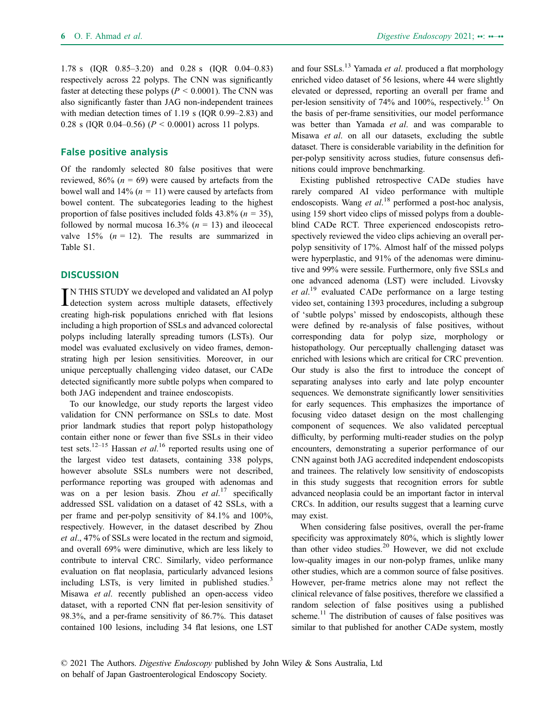1.78 s (IQR 0.85–3.20) and 0.28 s (IQR 0.04–0.83) respectively across 22 polyps. The CNN was significantly faster at detecting these polyps ( $P \le 0.0001$ ). The CNN was also significantly faster than JAG non-independent trainees with median detection times of 1.19 s (IQR 0.99–2.83) and 0.28 s (IQR 0.04–0.56) ( $P < 0.0001$ ) across 11 polyps.

# False positive analysis

Of the randomly selected 80 false positives that were reviewed,  $86\%$  ( $n = 69$ ) were caused by artefacts from the bowel wall and  $14\%$  ( $n = 11$ ) were caused by artefacts from bowel content. The subcategories leading to the highest proportion of false positives included folds  $43.8\%$  ( $n = 35$ ), followed by normal mucosa  $16.3\%$  ( $n = 13$ ) and ileocecal valve  $15\%$  ( $n = 12$ ). The results are summarized in Table S1.

# **DISCUSSION**

IN THIS STUDY we developed and validated an AI polyp<br>detection system across multiple datasets, effectively IN THIS STUDY we developed and validated an AI polyp creating high-risk populations enriched with flat lesions including a high proportion of SSLs and advanced colorectal polyps including laterally spreading tumors (LSTs). Our model was evaluated exclusively on video frames, demonstrating high per lesion sensitivities. Moreover, in our unique perceptually challenging video dataset, our CADe detected significantly more subtle polyps when compared to both JAG independent and trainee endoscopists.

To our knowledge, our study reports the largest video validation for CNN performance on SSLs to date. Most prior landmark studies that report polyp histopathology contain either none or fewer than five SSLs in their video test sets.<sup>12–15</sup> Hassan *et al.*<sup>16</sup> reported results using one of the largest video test datasets, containing 338 polyps, however absolute SSLs numbers were not described, performance reporting was grouped with adenomas and was on a per lesion basis. Zhou et  $al.^{17}$  specifically addressed SSL validation on a dataset of 42 SSLs, with a per frame and per-polyp sensitivity of 84.1% and 100%, respectively. However, in the dataset described by Zhou et al., 47% of SSLs were located in the rectum and sigmoid, and overall 69% were diminutive, which are less likely to contribute to interval CRC. Similarly, video performance evaluation on flat neoplasia, particularly advanced lesions including LSTs, is very limited in published studies.<sup>3</sup> Misawa et al. recently published an open-access video dataset, with a reported CNN flat per-lesion sensitivity of 98.3%, and a per-frame sensitivity of 86.7%. This dataset contained 100 lesions, including 34 flat lesions, one LST

and four  $SSLs$ <sup>13</sup> Yamada *et al.* produced a flat morphology enriched video dataset of 56 lesions, where 44 were slightly elevated or depressed, reporting an overall per frame and per-lesion sensitivity of 74% and 100%, respectively.15 On the basis of per-frame sensitivities, our model performance was better than Yamada et al. and was comparable to Misawa et al. on all our datasets, excluding the subtle dataset. There is considerable variability in the definition for per-polyp sensitivity across studies, future consensus definitions could improve benchmarking.

Existing published retrospective CADe studies have rarely compared AI video performance with multiple endoscopists. Wang et al.<sup>18</sup> performed a post-hoc analysis, using 159 short video clips of missed polyps from a doubleblind CADe RCT. Three experienced endoscopists retrospectively reviewed the video clips achieving an overall perpolyp sensitivity of 17%. Almost half of the missed polyps were hyperplastic, and 91% of the adenomas were diminutive and 99% were sessile. Furthermore, only five SSLs and one advanced adenoma (LST) were included. Livovsky et  $al$ .<sup>19</sup> evaluated CADe performance on a large testing video set, containing 1393 procedures, including a subgroup of 'subtle polyps' missed by endoscopists, although these were defined by re-analysis of false positives, without corresponding data for polyp size, morphology or histopathology. Our perceptually challenging dataset was enriched with lesions which are critical for CRC prevention. Our study is also the first to introduce the concept of separating analyses into early and late polyp encounter sequences. We demonstrate significantly lower sensitivities for early sequences. This emphasizes the importance of focusing video dataset design on the most challenging component of sequences. We also validated perceptual difficulty, by performing multi-reader studies on the polyp encounters, demonstrating a superior performance of our CNN against both JAG accredited independent endoscopists and trainees. The relatively low sensitivity of endoscopists in this study suggests that recognition errors for subtle advanced neoplasia could be an important factor in interval CRCs. In addition, our results suggest that a learning curve may exist.

When considering false positives, overall the per-frame specificity was approximately 80%, which is slightly lower than other video studies.<sup>20</sup> However, we did not exclude low-quality images in our non-polyp frames, unlike many other studies, which are a common source of false positives. However, per-frame metrics alone may not reflect the clinical relevance of false positives, therefore we classified a random selection of false positives using a published scheme.<sup>11</sup> The distribution of causes of false positives was similar to that published for another CADe system, mostly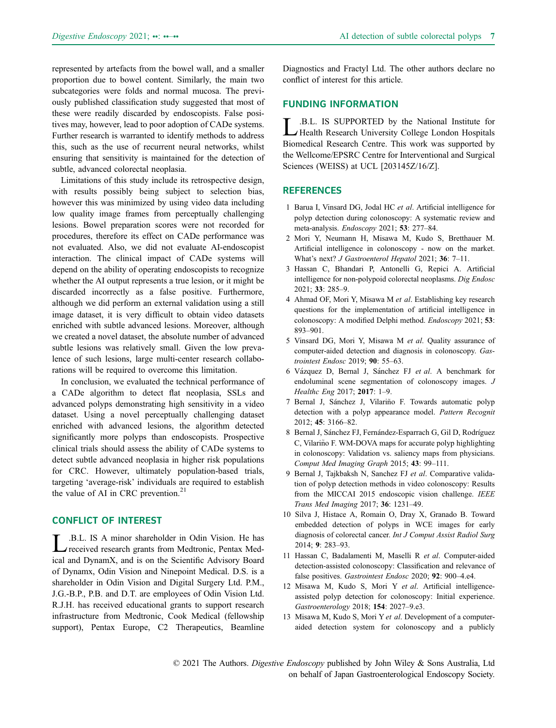represented by artefacts from the bowel wall, and a smaller proportion due to bowel content. Similarly, the main two subcategories were folds and normal mucosa. The previously published classification study suggested that most of these were readily discarded by endoscopists. False positives may, however, lead to poor adoption of CADe systems. Further research is warranted to identify methods to address this, such as the use of recurrent neural networks, whilst ensuring that sensitivity is maintained for the detection of subtle, advanced colorectal neoplasia.

Limitations of this study include its retrospective design, with results possibly being subject to selection bias, however this was minimized by using video data including low quality image frames from perceptually challenging lesions. Bowel preparation scores were not recorded for procedures, therefore its effect on CADe performance was not evaluated. Also, we did not evaluate AI-endoscopist interaction. The clinical impact of CADe systems will depend on the ability of operating endoscopists to recognize whether the AI output represents a true lesion, or it might be discarded incorrectly as a false positive. Furthermore, although we did perform an external validation using a still image dataset, it is very difficult to obtain video datasets enriched with subtle advanced lesions. Moreover, although we created a novel dataset, the absolute number of advanced subtle lesions was relatively small. Given the low prevalence of such lesions, large multi-center research collaborations will be required to overcome this limitation.

In conclusion, we evaluated the technical performance of a CADe algorithm to detect flat neoplasia, SSLs and advanced polyps demonstrating high sensitivity in a video dataset. Using a novel perceptually challenging dataset enriched with advanced lesions, the algorithm detected significantly more polyps than endoscopists. Prospective clinical trials should assess the ability of CADe systems to detect subtle advanced neoplasia in higher risk populations for CRC. However, ultimately population-based trials, targeting 'average-risk' individuals are required to establish the value of AI in CRC prevention. $21$ 

# CONFLICT OF INTEREST

L.B.L. IS A minor shareholder in Odin Vision. He has received research grants from Medtronic, Pentax Medical and DynamX, and is on the Scientific Advisory Board of Dynamx, Odin Vision and Ninepoint Medical. D.S. is a shareholder in Odin Vision and Digital Surgery Ltd. P.M., J.G.-B.P., P.B. and D.T. are employees of Odin Vision Ltd. R.J.H. has received educational grants to support research infrastructure from Medtronic, Cook Medical (fellowship support), Pentax Europe, C2 Therapeutics, Beamline

Diagnostics and Fractyl Ltd. The other authors declare no conflict of interest for this article.

## FUNDING INFORMATION

L.B.L. IS SUPPORTED by the National Institute for Health Research University College London Hospitals Biomedical Research Centre. This work was supported by the Wellcome/EPSRC Centre for Interventional and Surgical Sciences (WEISS) at UCL [203145Z/16/Z].

# **REFERENCES**

- 1 Barua I, Vinsard DG, Jodal HC et al. Artificial intelligence for polyp detection during colonoscopy: A systematic review and meta-analysis. Endoscopy 2021; 53: 277–84.
- 2 Mori Y, Neumann H, Misawa M, Kudo S, Bretthauer M. Artificial intelligence in colonoscopy - now on the market. What's next? *J Gastroenterol Hepatol* 2021; 36: 7-11.
- 3 Hassan C, Bhandari P, Antonelli G, Repici A. Artificial intelligence for non-polypoid colorectal neoplasms. Dig Endosc 2021; 33: 285–9.
- 4 Ahmad OF, Mori Y, Misawa M et al. Establishing key research questions for the implementation of artificial intelligence in colonoscopy: A modified Delphi method. Endoscopy 2021; 53: 893–901.
- 5 Vinsard DG, Mori Y, Misawa M et al. Quality assurance of computer-aided detection and diagnosis in colonoscopy. Gastrointest Endosc 2019; 90: 55–63.
- 6 Vazquez D, Bernal J, Sanchez FJ et al. A benchmark for endoluminal scene segmentation of colonoscopy images. J Healthc Eng 2017; 2017: 1–9.
- 7 Bernal J, Sánchez J, Vilariño F. Towards automatic polyp detection with a polyp appearance model. Pattern Recognit 2012; 45: 3166–82.
- 8 Bernal J, Sánchez FJ, Fernández-Esparrach G, Gil D, Rodríguez C, Vilariño F. WM-DOVA maps for accurate polyp highlighting in colonoscopy: Validation vs. saliency maps from physicians. Comput Med Imaging Graph 2015; 43: 99–111.
- 9 Bernal J, Tajkbaksh N, Sanchez FJ et al. Comparative validation of polyp detection methods in video colonoscopy: Results from the MICCAI 2015 endoscopic vision challenge. IEEE Trans Med Imaging 2017; 36: 1231–49.
- 10 Silva J, Histace A, Romain O, Dray X, Granado B. Toward embedded detection of polyps in WCE images for early diagnosis of colorectal cancer. Int J Comput Assist Radiol Surg 2014; 9: 283–93.
- 11 Hassan C, Badalamenti M, Maselli R et al. Computer-aided detection-assisted colonoscopy: Classification and relevance of false positives. Gastrointest Endosc 2020; 92: 900-4.e4.
- 12 Misawa M, Kudo S, Mori Y et al. Artificial intelligenceassisted polyp detection for colonoscopy: Initial experience. Gastroenterology 2018; 154: 2027–9.e3.
- 13 Misawa M, Kudo S, Mori Y et al. Development of a computeraided detection system for colonoscopy and a publicly